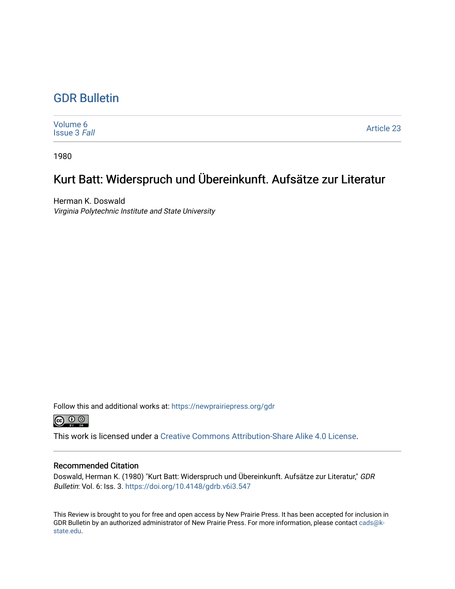## [GDR Bulletin](https://newprairiepress.org/gdr)

[Volume 6](https://newprairiepress.org/gdr/vol6) [Issue 3](https://newprairiepress.org/gdr/vol6/iss3) Fall [Article 23](https://newprairiepress.org/gdr/vol6/iss3/23) 

1980

## Kurt Batt: Widerspruch und Übereinkunft. Aufsätze zur Literatur

Herman K. Doswald Virginia Polytechnic Institute and State University

Follow this and additional works at: [https://newprairiepress.org/gdr](https://newprairiepress.org/gdr?utm_source=newprairiepress.org%2Fgdr%2Fvol6%2Fiss3%2F23&utm_medium=PDF&utm_campaign=PDFCoverPages) 



This work is licensed under a [Creative Commons Attribution-Share Alike 4.0 License.](https://creativecommons.org/licenses/by-sa/4.0/)

## Recommended Citation

Doswald, Herman K. (1980) "Kurt Batt: Widerspruch und Übereinkunft. Aufsätze zur Literatur," GDR Bulletin: Vol. 6: Iss. 3. <https://doi.org/10.4148/gdrb.v6i3.547>

This Review is brought to you for free and open access by New Prairie Press. It has been accepted for inclusion in GDR Bulletin by an authorized administrator of New Prairie Press. For more information, please contact [cads@k](mailto:cads@k-state.edu)[state.edu](mailto:cads@k-state.edu).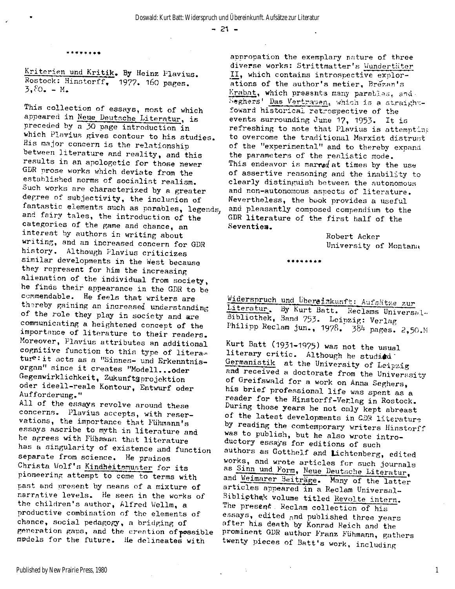$- 21 -$ 

**\*\*\*\*\*\*\*\*** 

**Kriterien und Kritik . By Heinz Plavius. Rostock: Hinstorff,** 1977. 160 **pages.**   $3,80 - M$ 

**This collection of essays, most of which appeared i n Neue Deutsche Literatur, i s preceded by a** 30 **page introduction i n which Plavius gives contour to his studies. His major concern i s the relationship**  between literature and reality, and this results in an apologetic for those newer **GDR prose works which deviate from the established norms of socialis t realism. Such works are characterized by a greater degree of subjectivity, the inclusion of fantastic elements such as parables, legends, and fairy tales , the introduction of the categories of the game and chance, an interest by authors in writing about writing, and an increased concern for GDR**  history. Although Plavius criticizes **similar developments in the West because they represent for him the increasing alienation of the individual from society, he finds their appearance i n the GDR to be**  commendable. He feels that writers are **thereby gaining an increased understanding of the role they play i n society and are communicating a heightened concept of the**  importance of literature to their readers. **Moreover, Plavius attributes an additional**  cognitive function to this type of literatur<sup>e</sup>: it acts as a "Sinnes- und Erkenntnis**organ" since i t creates "Modell...oder Gegenwirklichkeit, Zukunftsprojektion oder ideell-reale Kontour, Entwurf oder Aufforderung."** 

**A l l of the essays revolve around these concerns. Plavius accepts, with reservations, the importance that Fiihmann's**  essays ascribe to myth in literature and he agrees with Fühmann that literature **has a singularity of existence and function separate from science. He praises**  Christa Wolf's Kindheitsmuster for its **pioneering attempt to come to terms with past and present by means of a mixture of narrative levels . He sees in the works of the children's author, Alfred Wellm, a productive combination of the elements of chance, social pedagogy, a bridging of generation gaps, and the creation of •possible models for the future. He delineates with** 

**appropation the exemplary nature of three diverse works: Strittmatter's Wundertäter I I , which contains introspective explorations of the author's metier, Brezan's**   $\text{Krabat}$ , which presents many parables, and **Seghers Das** Vertrauen» which **is a straight**foward historical retrospective of the **events surrounding June** 17, 1953- **It i s**  refreshing to note that Plavius is attempting **to overcome the traditional Marxist distrust of the "experimental" and to thereby expand**  the parameters of the realistic mode. This endeavor is marred at times by the use **of assertive reasoning and the inability to clearly distinguish between the autonomous and non-autonomous aspects of literature . Nevertheless, the book provides a useful and pleasantly composed compendium to the**  GDR literature of the first half of the **Seventies.** 

> **Robert Acker University of Montana**

**Widerspruch und Übergiakunf**t**: Aufsätze zur Literatur-, By Kurt Batt. Reclams Universal« Bibliothek, Band** 753- **Leipzig: Verlag**  Philipp Reclam jun., 1978. 384 pages. 2,50.M

**\*\*\*••\*••** 

**Kurt Batt** (1931-1975) **was not the usual**  literary critic. Although he studiad **Germanistik at the University of Leipzig and received a doctorate from the Universsity of Greifswald for a work on Anna Seghers, his brie f professional lif e was spent as a reader for the Hinstorff-Verlag i n Rostock. During those years he not only kept abreast of the latest developments i n** GDR **literature by reading the comtemporary writers Hinstorff was to publish, but he also wrote introductory essays for editions of such authors as Gotthelf and Lichtenberg, edited**  works, and wrote articles for such journals **as Sinn und Form, Neue Deutsche Literatur,**  and Weimarer Beiträge. Many of the latter articles appeared in a Reclam Universal-Bibliothek volume titled Revolte intern. **The present . Reclam collection of his essays, edited and published three years after his death by Konrad Reich and the**  prominent GDR author Franz Fühmann, gathers **twenty pieces of Batt's work, including** 

 $\sim$ 

1